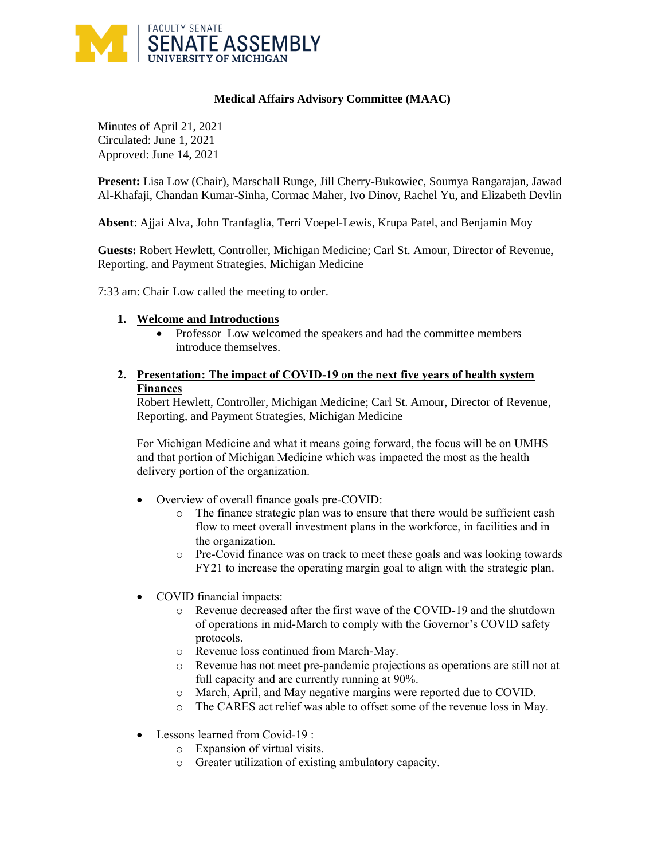

## **Medical Affairs Advisory Committee (MAAC)**

Minutes of April 21, 2021 Circulated: June 1, 2021 Approved: June 14, 2021

**Present:** Lisa Low (Chair), Marschall Runge, Jill Cherry-Bukowiec, Soumya Rangarajan, Jawad Al-Khafaji, Chandan Kumar-Sinha, Cormac Maher, Ivo Dinov, Rachel Yu, and Elizabeth Devlin

**Absent**: Ajjai Alva, John Tranfaglia, Terri Voepel-Lewis, Krupa Patel, and Benjamin Moy

**Guests:** Robert Hewlett, Controller, Michigan Medicine; Carl St. Amour, Director of Revenue, Reporting, and Payment Strategies, Michigan Medicine

7:33 am: Chair Low called the meeting to order.

## **1. Welcome and Introductions**

• Professor Low welcomed the speakers and had the committee members introduce themselves.

## **2. Presentation: The impact of COVID-19 on the next five years of health system Finances**

Robert Hewlett, Controller, Michigan Medicine; Carl St. Amour, Director of Revenue, Reporting, and Payment Strategies, Michigan Medicine

For Michigan Medicine and what it means going forward, the focus will be on UMHS and that portion of Michigan Medicine which was impacted the most as the health delivery portion of the organization.

- Overview of overall finance goals pre-COVID:
	- o The finance strategic plan was to ensure that there would be sufficient cash flow to meet overall investment plans in the workforce, in facilities and in the organization.
	- o Pre-Covid finance was on track to meet these goals and was looking towards FY21 to increase the operating margin goal to align with the strategic plan.
- COVID financial impacts:
	- o Revenue decreased after the first wave of the COVID-19 and the shutdown of operations in mid-March to comply with the Governor's COVID safety protocols.
	- o Revenue loss continued from March-May.
	- o Revenue has not meet pre-pandemic projections as operations are still not at full capacity and are currently running at 90%.
	- o March, April, and May negative margins were reported due to COVID.
	- o The CARES act relief was able to offset some of the revenue loss in May.
- Lessons learned from Covid-19 :
	- o Expansion of virtual visits.
	- o Greater utilization of existing ambulatory capacity.